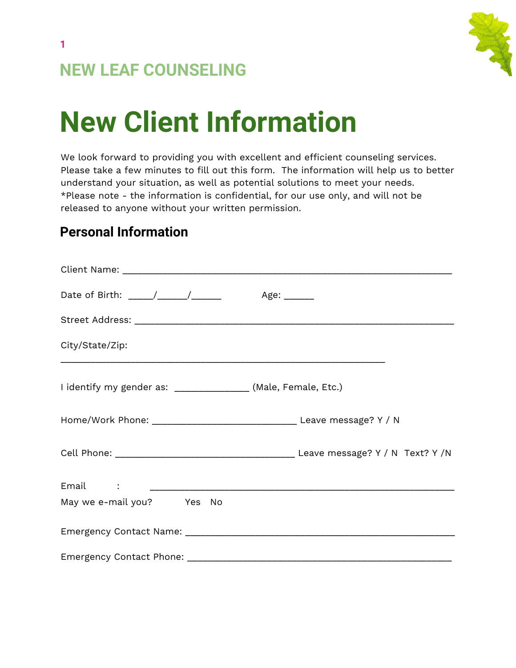

# **NEW LEAF COUNSELING**

# **New Client Information**

We look forward to providing you with excellent and efficient counseling services. Please take a few minutes to fill out this form. The information will help us to better understand your situation, as well as potential solutions to meet your needs. \*Please note - the information is confidential, for our use only, and will not be released to anyone without your written permission.

#### **Personal Information**

| Date of Birth: ____/_____/_______ Age: _____                  |  |
|---------------------------------------------------------------|--|
|                                                               |  |
| City/State/Zip:                                               |  |
| I identify my gender as: _______________ (Male, Female, Etc.) |  |
|                                                               |  |
|                                                               |  |
|                                                               |  |
| May we e-mail you? Yes No                                     |  |
|                                                               |  |
|                                                               |  |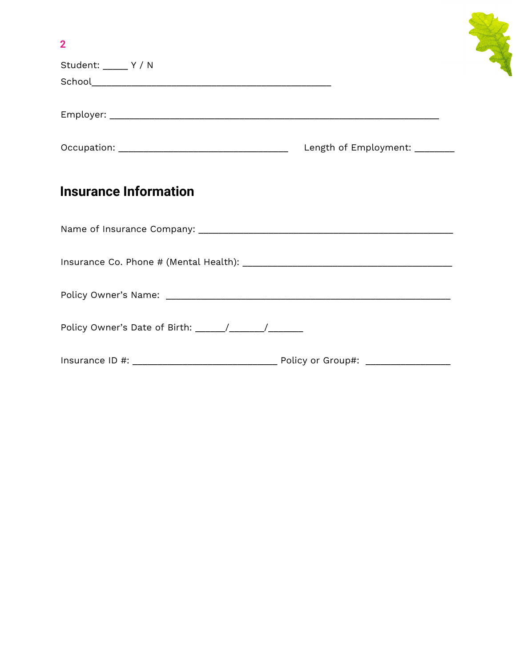| $\overline{2}$               |  |
|------------------------------|--|
| Student: _____ Y / N         |  |
|                              |  |
|                              |  |
|                              |  |
| <b>Insurance Information</b> |  |
|                              |  |
|                              |  |
|                              |  |
|                              |  |
|                              |  |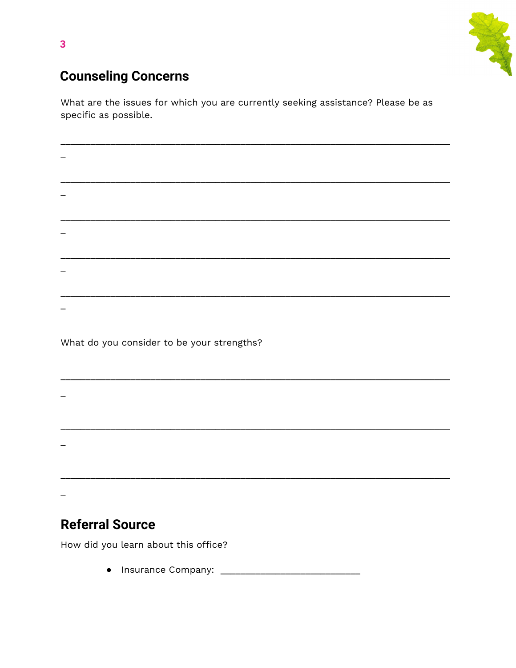

## **Counseling Concerns**

What are the issues for which you are currently seeking assistance? Please be as specific as possible.

| $M_{\rm{B}}$ at the same considerate less commutation of $\sim$ 0. |  |  |  |  |
|--------------------------------------------------------------------|--|--|--|--|
|                                                                    |  |  |  |  |

What do you consider to be your strengths?

## **Referral Source**

How did you learn about this office?